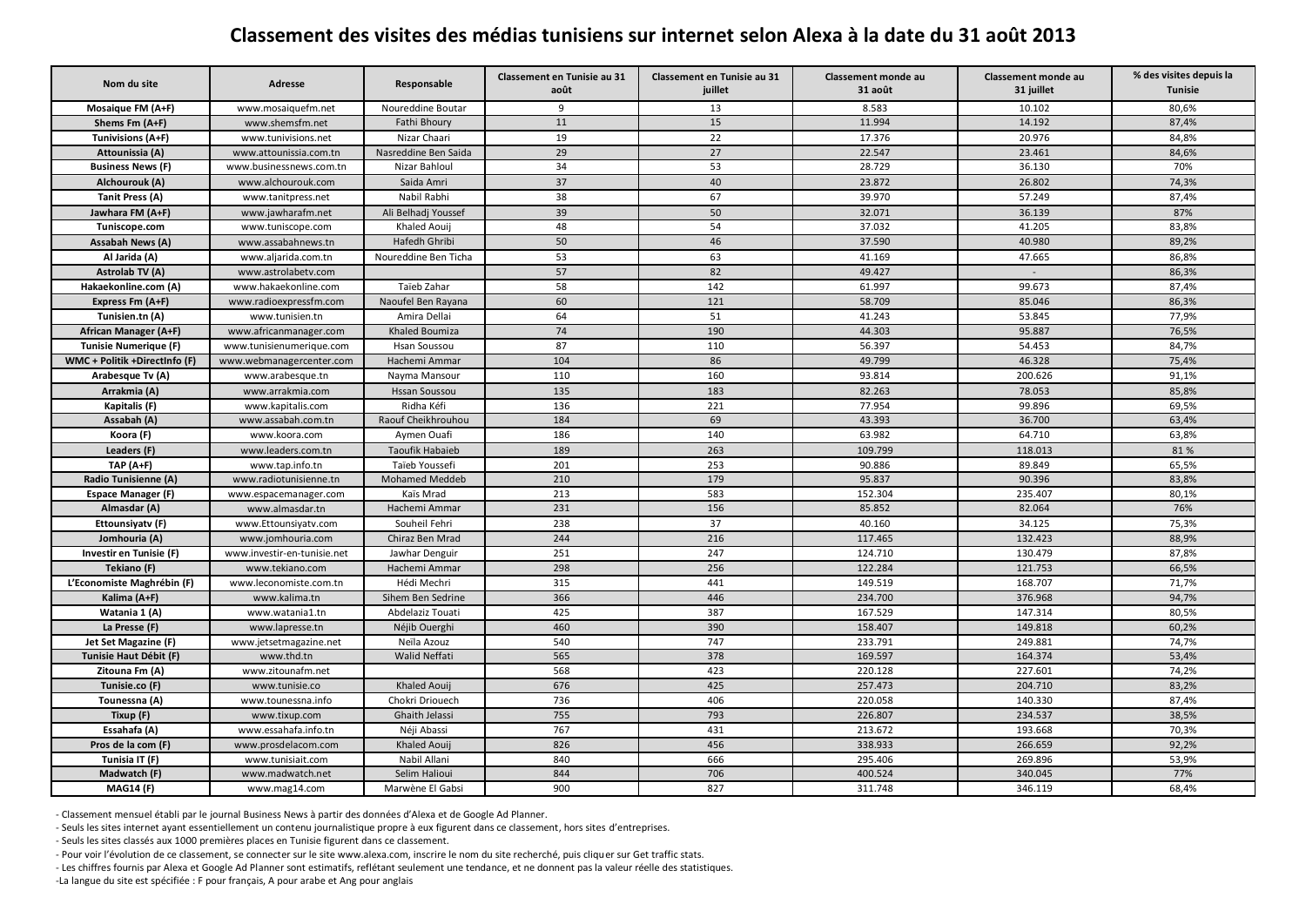## **Classement des visites des médias tunisiens sur internet selon Alexa à la date du 31 août 2013**

| Nom du site                   | Adresse                     | Responsable           | Classement en Tunisie au 31<br>août | Classement en Tunisie au 31<br>juillet | Classement monde au<br>31 août | Classement monde au<br>31 juillet | % des visites depuis la<br><b>Tunisie</b> |
|-------------------------------|-----------------------------|-----------------------|-------------------------------------|----------------------------------------|--------------------------------|-----------------------------------|-------------------------------------------|
| Mosaique FM (A+F)             | www.mosaiquefm.net          | Noureddine Boutar     | q                                   | 13                                     | 8.583                          | 10.102                            | 80.6%                                     |
| Shems Fm (A+F)                | www.shemsfm.net             | Fathi Bhoury          | 11                                  | 15                                     | 11.994                         | 14.192                            | 87,4%                                     |
| Tunivisions (A+F)             | www.tunivisions.net         | Nizar Chaari          | 19                                  | 22                                     | 17.376                         | 20.976                            | 84,8%                                     |
| Attounissia (A)               | www.attounissia.com.tn      | Nasreddine Ben Saida  | 29                                  | 27                                     | 22.547                         | 23.461                            | 84,6%                                     |
| <b>Business News (F)</b>      | www.businessnews.com.tn     | Nizar Bahloul         | 34                                  | 53                                     | 28.729                         | 36.130                            | 70%                                       |
| Alchourouk (A)                | www.alchourouk.com          | Saida Amri            | 37                                  | 40                                     | 23.872                         | 26.802                            | 74,3%                                     |
| Tanit Press (A)               | www.tanitpress.net          | Nabil Rabhi           | 38                                  | 67                                     | 39.970                         | 57.249                            | 87,4%                                     |
| Jawhara FM (A+F)              | www.jawharafm.net           | Ali Belhadj Youssef   | 39                                  | 50                                     | 32.071                         | 36.139                            | 87%                                       |
| Tuniscope.com                 | www.tuniscope.com           | Khaled Aouij          | 48                                  | 54                                     | 37.032                         | 41.205                            | 83,8%                                     |
| Assabah News (A)              | www.assabahnews.tn          | Hafedh Ghribi         | 50                                  | 46                                     | 37.590                         | 40.980                            | 89,2%                                     |
| Al Jarida (A)                 | www.aljarida.com.tn         | Noureddine Ben Ticha  | 53                                  | 63                                     | 41.169                         | 47.665                            | 86,8%                                     |
| Astrolab TV (A)               | www.astrolabetv.com         |                       | 57                                  | 82                                     | 49.427                         |                                   | 86,3%                                     |
| Hakaekonline.com (A)          | www.hakaekonline.com        | Taïeb Zahar           | 58                                  | 142                                    | 61.997                         | 99.673                            | 87,4%                                     |
| Express Fm (A+F)              | www.radioexpressfm.com      | Naoufel Ben Rayana    | 60                                  | 121                                    | 58.709                         | 85.046                            | 86,3%                                     |
| Tunisien.tn (A)               | www.tunisien.tn             | Amira Dellai          | 64                                  | 51                                     | 41.243                         | 53.845                            | 77,9%                                     |
| African Manager (A+F)         | www.africanmanager.com      | Khaled Boumiza        | 74                                  | 190                                    | 44.303                         | 95.887                            | 76,5%                                     |
| <b>Tunisie Numerique (F)</b>  | www.tunisienumerique.com    | Hsan Soussou          | 87                                  | 110                                    | 56.397                         | 54.453                            | 84,7%                                     |
| WMC + Politik +DirectInfo (F) | www.webmanagercenter.com    | Hachemi Ammar         | 104                                 | 86                                     | 49.799                         | 46.328                            | 75,4%                                     |
| Arabesque Tv (A)              | www.arabesque.tn            | Nayma Mansour         | 110                                 | 160                                    | 93.814                         | 200.626                           | 91,1%                                     |
| Arrakmia (A)                  | www.arrakmia.com            | Hssan Soussou         | 135                                 | 183                                    | 82.263                         | 78.053                            | 85,8%                                     |
| Kapitalis (F)                 | www.kapitalis.com           | Ridha Kéfi            | 136                                 | 221                                    | 77.954                         | 99.896                            | 69,5%                                     |
| Assabah (A)                   | www.assabah.com.tn          | Raouf Cheikhrouhou    | 184                                 | 69                                     | 43.393                         | 36.700                            | 63,4%                                     |
| Koora (F)                     | www.koora.com               | Aymen Ouafi           | 186                                 | 140                                    | 63.982                         | 64.710                            | 63,8%                                     |
| Leaders (F)                   | www.leaders.com.tn          | Taoufik Habaieb       | 189                                 | 263                                    | 109.799                        | 118.013                           | 81 %                                      |
| $TAP(A+F)$                    | www.tap.info.tn             | Taïeb Youssefi        | 201                                 | 253                                    | 90.886                         | 89.849                            | 65,5%                                     |
| Radio Tunisienne (A)          | www.radiotunisienne.tn      | <b>Mohamed Meddeb</b> | 210                                 | 179                                    | 95.837                         | 90.396                            | 83,8%                                     |
| <b>Espace Manager (F)</b>     | www.espacemanager.com       | Kaïs Mrad             | 213                                 | 583                                    | 152.304                        | 235.407                           | 80,1%                                     |
| Almasdar (A)                  | www.almasdar.tn             | Hachemi Ammar         | 231                                 | 156                                    | 85.852                         | 82.064                            | 76%                                       |
| Ettounsiyatv (F)              | www.Ettounsiyatv.com        | Souheil Fehri         | 238                                 | 37                                     | 40.160                         | 34.125                            | 75,3%                                     |
| Jomhouria (A)                 | www.jomhouria.com           | Chiraz Ben Mrad       | 244                                 | 216                                    | 117.465                        | 132.423                           | 88,9%                                     |
| Investir en Tunisie (F)       | www.investir-en-tunisie.net | Jawhar Denguir        | 251                                 | 247                                    | 124.710                        | 130.479                           | 87,8%                                     |
| Tekiano (F)                   | www.tekiano.com             | Hachemi Ammar         | 298                                 | 256                                    | 122.284                        | 121.753                           | 66,5%                                     |
| L'Economiste Maghrébin (F)    | www.leconomiste.com.tn      | Hédi Mechri           | 315                                 | 441                                    | 149.519                        | 168.707                           | 71,7%                                     |
| Kalima (A+F)                  | www.kalima.tn               | Sihem Ben Sedrine     | 366                                 | 446                                    | 234.700                        | 376.968                           | 94,7%                                     |
| Watania 1 (A)                 | www.watania1.tn             | Abdelaziz Touati      | 425                                 | 387                                    | 167.529                        | 147.314                           | 80,5%                                     |
| La Presse (F)                 | www.lapresse.tn             | Néjib Ouerghi         | 460                                 | 390                                    | 158.407                        | 149.818                           | 60,2%                                     |
| Jet Set Magazine (F)          | www.jetsetmagazine.net      | Neïla Azouz           | 540                                 | 747                                    | 233.791                        | 249.881                           | 74,7%                                     |
| Tunisie Haut Débit (F)        | www.thd.tn                  | Walid Neffati         | 565                                 | 378                                    | 169.597                        | 164.374                           | 53,4%                                     |
| Zitouna Fm (A)                | www.zitounafm.net           |                       | 568                                 | 423                                    | 220.128                        | 227.601                           | 74,2%                                     |
| Tunisie.co (F)                | www.tunisie.co              | Khaled Aouij          | 676                                 | 425                                    | 257.473                        | 204.710                           | 83,2%                                     |
| Tounessna (A)                 | www.tounessna.info          | Chokri Driouech       | 736                                 | 406                                    | 220.058                        | 140.330                           | 87,4%                                     |
| Tixup (F)                     | www.tixup.com               | Ghaith Jelassi        | 755                                 | 793                                    | 226.807                        | 234.537                           | 38,5%                                     |
| Essahafa (A)                  | www.essahafa.info.tn        | Néji Abassi           | 767                                 | 431                                    | 213.672                        | 193.668                           | 70,3%                                     |
| Pros de la com (F)            | www.prosdelacom.com         | Khaled Aouij          | 826                                 | 456                                    | 338.933                        | 266.659                           | 92,2%                                     |
| Tunisia IT (F)                | www.tunisiait.com           | Nabil Allani          | 840                                 | 666                                    | 295.406                        | 269.896                           | 53,9%                                     |
| Madwatch (F)                  | www.madwatch.net            | Selim Halioui         | 844                                 | 706                                    | 400.524                        | 340.045                           | 77%                                       |
| <b>MAG14 (F)</b>              | www.mag14.com               | Marwène El Gabsi      | 900                                 | 827                                    | 311.748                        | 346.119                           | 68,4%                                     |

- Classement mensuel établi par le journal Business News à partir des données d'Alexa et de Google Ad Planner.

- Seuls les sites internet ayant essentiellement un contenu journalistique propre à eux figurent dans ce classement, hors sites d'entreprises.

- Seuls les sites classés aux 1000 premières places en Tunisie figurent dans ce classement.

- Pour voir l'évolution de ce classement, se connecter sur le site www.alexa.com, inscrire le nom du site recherché, puis cliquer sur Get traffic stats.

- Les chiffres fournis par Alexa et Google Ad Planner sont estimatifs, reflétant seulement une tendance, et ne donnent pas la valeur réelle des statistiques.

-La langue du site est spécifiée : F pour français, A pour arabe et Ang pour anglais